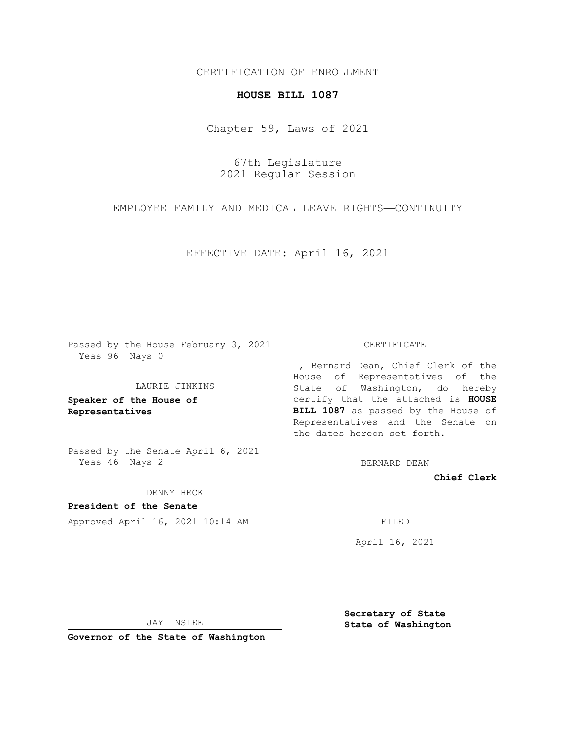## CERTIFICATION OF ENROLLMENT

## **HOUSE BILL 1087**

Chapter 59, Laws of 2021

67th Legislature 2021 Regular Session

EMPLOYEE FAMILY AND MEDICAL LEAVE RIGHTS—CONTINUITY

EFFECTIVE DATE: April 16, 2021

Passed by the House February 3, 2021 Yeas 96 Nays 0

## LAURIE JINKINS

**Speaker of the House of Representatives**

Passed by the Senate April 6, 2021 Yeas 46 Nays 2

DENNY HECK

**President of the Senate** Approved April 16, 2021 10:14 AM

CERTIFICATE

I, Bernard Dean, Chief Clerk of the House of Representatives of the State of Washington, do hereby certify that the attached is **HOUSE BILL 1087** as passed by the House of Representatives and the Senate on the dates hereon set forth.

BERNARD DEAN

**Chief Clerk**

April 16, 2021

JAY INSLEE

**Governor of the State of Washington**

**Secretary of State State of Washington**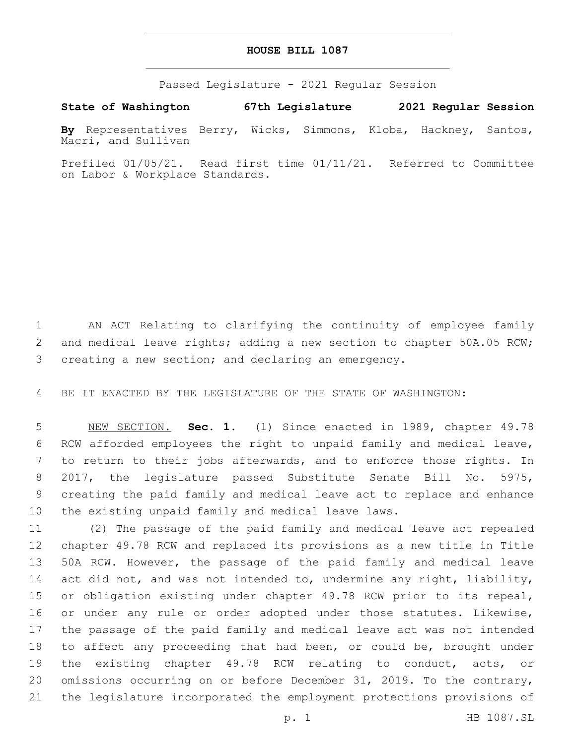## **HOUSE BILL 1087**

Passed Legislature - 2021 Regular Session

**State of Washington 67th Legislature 2021 Regular Session**

**By** Representatives Berry, Wicks, Simmons, Kloba, Hackney, Santos, Macri, and Sullivan

Prefiled 01/05/21. Read first time 01/11/21. Referred to Committee on Labor & Workplace Standards.

 AN ACT Relating to clarifying the continuity of employee family 2 and medical leave rights; adding a new section to chapter 50A.05 RCW; creating a new section; and declaring an emergency.

BE IT ENACTED BY THE LEGISLATURE OF THE STATE OF WASHINGTON:

 NEW SECTION. **Sec. 1.** (1) Since enacted in 1989, chapter 49.78 RCW afforded employees the right to unpaid family and medical leave, to return to their jobs afterwards, and to enforce those rights. In 2017, the legislature passed Substitute Senate Bill No. 5975, creating the paid family and medical leave act to replace and enhance the existing unpaid family and medical leave laws.

 (2) The passage of the paid family and medical leave act repealed chapter 49.78 RCW and replaced its provisions as a new title in Title 50A RCW. However, the passage of the paid family and medical leave 14 act did not, and was not intended to, undermine any right, liability, or obligation existing under chapter 49.78 RCW prior to its repeal, 16 or under any rule or order adopted under those statutes. Likewise, the passage of the paid family and medical leave act was not intended to affect any proceeding that had been, or could be, brought under the existing chapter 49.78 RCW relating to conduct, acts, or omissions occurring on or before December 31, 2019. To the contrary, the legislature incorporated the employment protections provisions of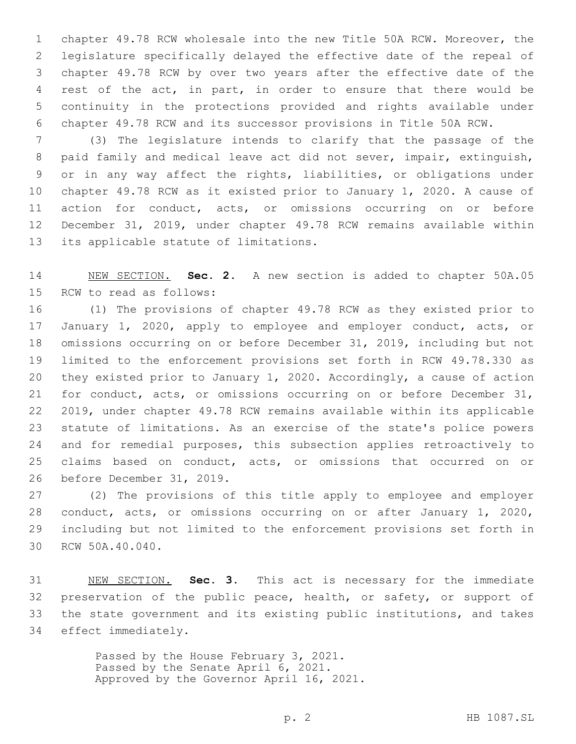chapter 49.78 RCW wholesale into the new Title 50A RCW. Moreover, the legislature specifically delayed the effective date of the repeal of chapter 49.78 RCW by over two years after the effective date of the rest of the act, in part, in order to ensure that there would be continuity in the protections provided and rights available under chapter 49.78 RCW and its successor provisions in Title 50A RCW.

 (3) The legislature intends to clarify that the passage of the paid family and medical leave act did not sever, impair, extinguish, or in any way affect the rights, liabilities, or obligations under chapter 49.78 RCW as it existed prior to January 1, 2020. A cause of action for conduct, acts, or omissions occurring on or before December 31, 2019, under chapter 49.78 RCW remains available within 13 its applicable statute of limitations.

 NEW SECTION. **Sec. 2.** A new section is added to chapter 50A.05 15 RCW to read as follows:

 (1) The provisions of chapter 49.78 RCW as they existed prior to January 1, 2020, apply to employee and employer conduct, acts, or omissions occurring on or before December 31, 2019, including but not limited to the enforcement provisions set forth in RCW 49.78.330 as they existed prior to January 1, 2020. Accordingly, a cause of action for conduct, acts, or omissions occurring on or before December 31, 2019, under chapter 49.78 RCW remains available within its applicable statute of limitations. As an exercise of the state's police powers and for remedial purposes, this subsection applies retroactively to claims based on conduct, acts, or omissions that occurred on or 26 before December 31, 2019.

 (2) The provisions of this title apply to employee and employer conduct, acts, or omissions occurring on or after January 1, 2020, including but not limited to the enforcement provisions set forth in 30 RCW 50A.40.040.

 NEW SECTION. **Sec. 3.** This act is necessary for the immediate 32 preservation of the public peace, health, or safety, or support of the state government and its existing public institutions, and takes effect immediately.

> Passed by the House February 3, 2021. Passed by the Senate April 6, 2021. Approved by the Governor April 16, 2021.